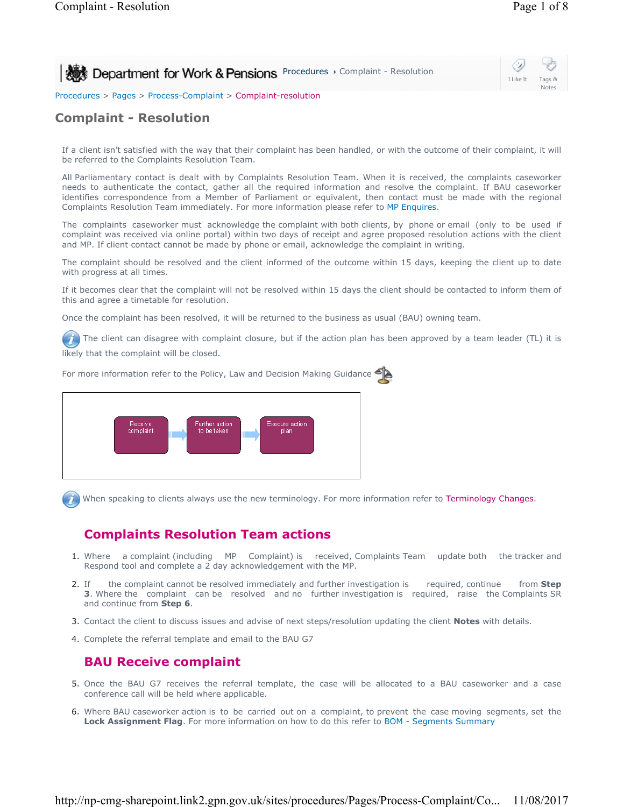**Procedures > Complaint - Resolution** 

I Like It Tags & Notes

₩

Procedures > Pages > Process-Complaint > Complaint-resolution

## **Complaint - Resolution**

If a client isn't satisfied with the way that their complaint has been handled, or with the outcome of their complaint, it will be referred to the Complaints Resolution Team.

All Parliamentary contact is dealt with by Complaints Resolution Team. When it is received, the complaints caseworker needs to authenticate the contact, gather all the required information and resolve the complaint. If BAU caseworker identifies correspondence from a Member of Parliament or equivalent, then contact must be made with the regional Complaints Resolution Team immediately. For more information please refer to MP Enquires.

The complaints caseworker must acknowledge the complaint with both clients, by phone or email (only to be used if complaint was received via online portal) within two days of receipt and agree proposed resolution actions with the client and MP. If client contact cannot be made by phone or email, acknowledge the complaint in writing.

The complaint should be resolved and the client informed of the outcome within 15 days, keeping the client up to date with progress at all times.

If it becomes clear that the complaint will not be resolved within 15 days the client should be contacted to inform them of this and agree a timetable for resolution.

Once the complaint has been resolved, it will be returned to the business as usual (BAU) owning team.

The client can disagree with complaint closure, but if the action plan has been approved by a team leader (TL) it is likely that the complaint will be closed.

For more information refer to the Policy, Law and Decision Making Guidance



When speaking to clients always use the new terminology. For more information refer to Terminology Changes.

## **Complaints Resolution Team actions**

- 1. Where a complaint (including MP Complaint) is received, Complaints Team update both the tracker and Respond tool and complete a 2 day acknowledgement with the MP.
- If the complaint cannot be resolved immediately and further investigation is required, continue from **Step 3**. Where the complaint can be resolved and no further investigation is required, raise the Complaints SR and continue from **Step 6**. 2. Tf
- 3. Contact the client to discuss issues and advise of next steps/resolution updating the client **Notes** with details.
- 4. Complete the referral template and email to the BAU G7

## **BAU Receive complaint**

- 5. Once the BAU G7 receives the referral template, the case will be allocated to a BAU caseworker and a case conference call will be held where applicable.
- 6. Where BAU caseworker action is to be carried out on a complaint, to prevent the case moving segments, set the **Lock Assignment Flag**. For more information on how to do this refer to BOM - Segments Summary

http://np-cmg-sharepoint.link2.gpn.gov.uk/sites/procedures/Pages/Process-Complaint/Co... 11/08/2017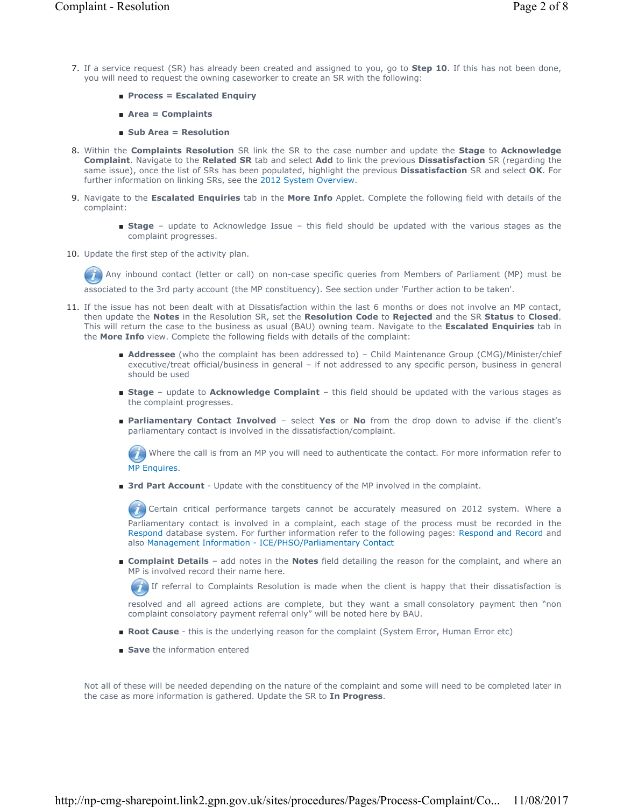- 7. If a service request (SR) has already been created and assigned to you, go to **Step 10**. If this has not been done, you will need to request the owning caseworker to create an SR with the following:
	- **Process = Escalated Enquiry**
	- **Area = Complaints**
	- **Sub Area = Resolution**
- 8. Within the **Complaints Resolution** SR link the SR to the case number and update the Stage to Acknowledge **Complaint**. Navigate to the **Related SR** tab and select **Add** to link the previous **Dissatisfaction** SR (regarding the same issue), once the list of SRs has been populated, highlight the previous **Dissatisfaction** SR and select **OK**. For further information on linking SRs, see the 2012 System Overview.
- 9. Navigate to the Escalated Enquiries tab in the More Info Applet. Complete the following field with details of the complaint:
	- Stage update to Acknowledge Issue this field should be updated with the various stages as the complaint progresses.
- 10. Update the first step of the activity plan.

Any inbound contact (letter or call) on non-case specific queries from Members of Parliament (MP) must be associated to the 3rd party account (the MP constituency). See section under 'Further action to be taken'.

- 11. If the issue has not been dealt with at Dissatisfaction within the last 6 months or does not involve an MP contact, then update the **Notes** in the Resolution SR, set the **Resolution Code** to **Rejected** and the SR **Status** to **Closed**. This will return the case to the business as usual (BAU) owning team. Navigate to the **Escalated Enquiries** tab in the **More Info** view. Complete the following fields with details of the complaint:
	- **Addressee** (who the complaint has been addressed to) Child Maintenance Group (CMG)/Minister/chief executive/treat official/business in general – if not addressed to any specific person, business in general should be used
	- Stage update to Acknowledge Complaint this field should be updated with the various stages as the complaint progresses.
	- Parliamentary Contact Involved select Yes or No from the drop down to advise if the client's parliamentary contact is involved in the dissatisfaction/complaint.

Where the call is from an MP you will need to authenticate the contact. For more information refer to MP Enquires.

■ 3rd Part Account - Update with the constituency of the MP involved in the complaint.

Certain critical performance targets cannot be accurately measured on 2012 system. Where a Parliamentary contact is involved in a complaint, each stage of the process must be recorded in the Respond database system. For further information refer to the following pages: Respond and Record and also Management Information - ICE/PHSO/Parliamentary Contact

■ **Complaint Details** - add notes in the **Notes** field detailing the reason for the complaint, and where an MP is involved record their name here.

 $\tilde{I}$ If referral to Complaints Resolution is made when the client is happy that their dissatisfaction is

resolved and all agreed actions are complete, but they want a small consolatory payment then "non complaint consolatory payment referral only" will be noted here by BAU.

- **Root Cause** this is the underlying reason for the complaint (System Error, Human Error etc)
- **Save** the information entered

Not all of these will be needed depending on the nature of the complaint and some will need to be completed later in the case as more information is gathered. Update the SR to **In Progress**.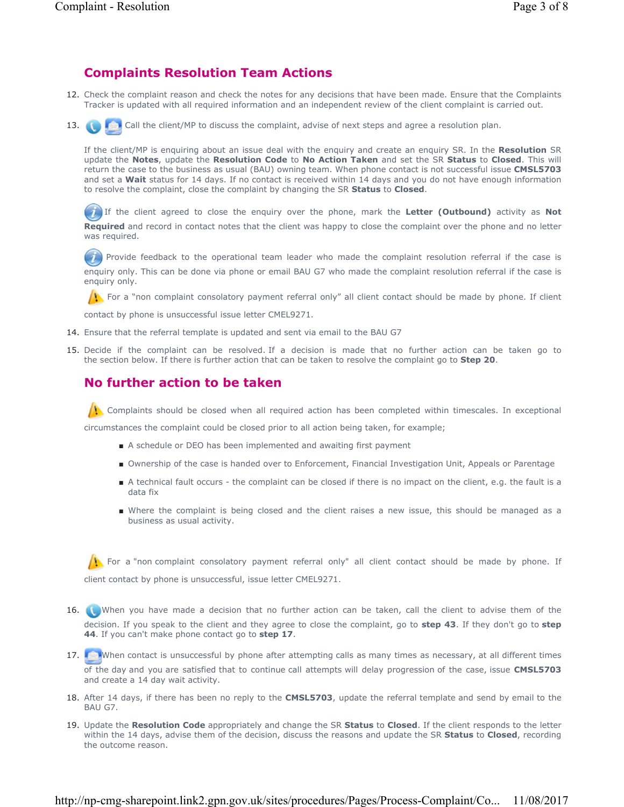### **Complaints Resolution Team Actions**

- 12. Check the complaint reason and check the notes for any decisions that have been made. Ensure that the Complaints Tracker is updated with all required information and an independent review of the client complaint is carried out.
- Call the client/MP to discuss the complaint, advise of next steps and agree a resolution plan. 13.

If the client/MP is enquiring about an issue deal with the enquiry and create an enquiry SR. In the **Resolution** SR update the **Notes**, update the **Resolution Code** to **No Action Taken** and set the SR **Status** to **Closed**. This will return the case to the business as usual (BAU) owning team. When phone contact is not successful issue **CMSL5703** and set a **Wait** status for 14 days. If no contact is received within 14 days and you do not have enough information to resolve the complaint, close the complaint by changing the SR **Status** to **Closed**.

 If the client agreed to close the enquiry over the phone, mark the **Letter (Outbound)** activity as **Not Required** and record in contact notes that the client was happy to close the complaint over the phone and no letter was required.

 $(i)$  Provide feedback to the operational team leader who made the complaint resolution referral if the case is enquiry only. This can be done via phone or email BAU G7 who made the complaint resolution referral if the case is enquiry only.

For a "non complaint consolatory payment referral only" all client contact should be made by phone. If client

contact by phone is unsuccessful issue letter CMEL9271.

- 14. Ensure that the referral template is updated and sent via email to the BAU G7
- 15. Decide if the complaint can be resolved. If a decision is made that no further action can be taken go to the section below. If there is further action that can be taken to resolve the complaint go to **Step 20**.

### **No further action to be taken**

Complaints should be closed when all required action has been completed within timescales. In exceptional

circumstances the complaint could be closed prior to all action being taken, for example;

- A schedule or DEO has been implemented and awaiting first payment
- Ownership of the case is handed over to Enforcement, Financial Investigation Unit, Appeals or Parentage
- A technical fault occurs the complaint can be closed if there is no impact on the client, e.g. the fault is a data fix
- Where the complaint is being closed and the client raises a new issue, this should be managed as a business as usual activity.

For a "non complaint consolatory payment referral only" all client contact should be made by phone. If client contact by phone is unsuccessful, issue letter CMEL9271.

- 16. When you have made a decision that no further action can be taken, call the client to advise them of the decision. If you speak to the client and they agree to close the complaint, go to **step 43**. If they don't go to **step 44**. If you can't make phone contact go to **step 17**.
- 17. When contact is unsuccessful by phone after attempting calls as many times as necessary, at all different times of the day and you are satisfied that to continue call attempts will delay progression of the case, issue **CMSL5703**  and create a 14 day wait activity.
- 18. After 14 days, if there has been no reply to the **CMSL5703**, update the referral template and send by email to the BAU G7.
- 19. Update the Resolution Code appropriately and change the SR Status to Closed. If the client responds to the letter within the 14 days, advise them of the decision, discuss the reasons and update the SR **Status** to **Closed**, recording the outcome reason.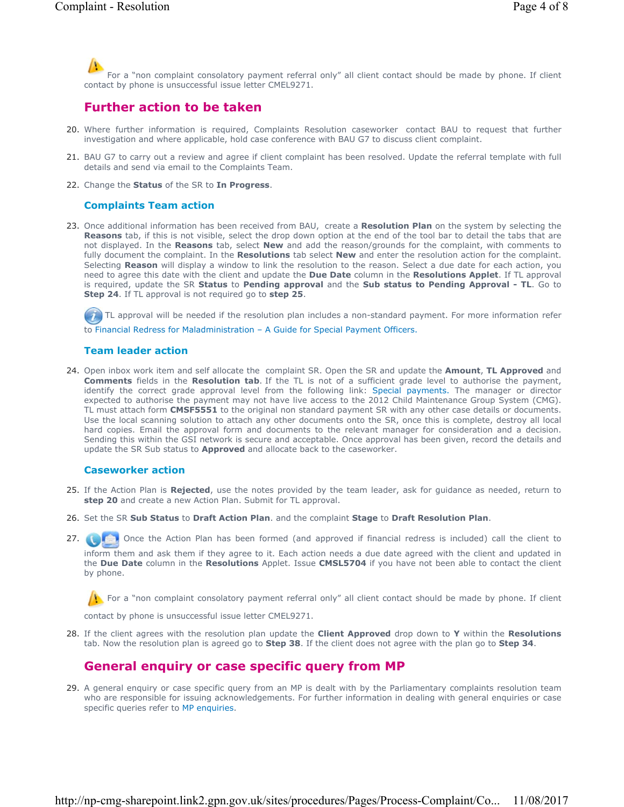For a "non complaint consolatory payment referral only" all client contact should be made by phone. If client contact by phone is unsuccessful issue letter CMEL9271.

### **Further action to be taken**

- Where further information is required, Complaints Resolution caseworker contact BAU to request that further 20. investigation and where applicable, hold case conference with BAU G7 to discuss client complaint.
- 21. BAU G7 to carry out a review and agree if client complaint has been resolved. Update the referral template with full details and send via email to the Complaints Team.
- 22. Change the **Status** of the SR to **In Progress**.

#### **Complaints Team action**

23. Once additional information has been received from BAU, create a **Resolution Plan** on the system by selecting the **Reasons** tab, if this is not visible, select the drop down option at the end of the tool bar to detail the tabs that are not displayed. In the **Reasons** tab, select **New** and add the reason/grounds for the complaint, with comments to fully document the complaint. In the **Resolutions** tab select **New** and enter the resolution action for the complaint. Selecting Reason will display a window to link the resolution to the reason. Select a due date for each action, you need to agree this date with the client and update the **Due Date** column in the **Resolutions Applet**. If TL approval is required, update the SR **Status** to **Pending approval** and the **Sub status to Pending Approval - TL**. Go to **Step 24**. If TL approval is not required go to **step 25**.

TL approval will be needed if the resolution plan includes a non-standard payment. For more information refer to Financial Redress for Maladministration – A Guide for Special Payment Officers.

#### **Team leader action**

24. Open inbox work item and self allocate the complaint SR. Open the SR and update the **Amount, TL Approved** and **Comments** fields in the **Resolution tab**. If the TL is not of a sufficient grade level to authorise the payment, identify the correct grade approval level from the following link: Special payments. The manager or director expected to authorise the payment may not have live access to the 2012 Child Maintenance Group System (CMG). TL must attach form **CMSF5551** to the original non standard payment SR with any other case details or documents. Use the local scanning solution to attach any other documents onto the SR, once this is complete, destroy all local hard copies. Email the approval form and documents to the relevant manager for consideration and a decision. Sending this within the GSI network is secure and acceptable. Once approval has been given, record the details and update the SR Sub status to **Approved** and allocate back to the caseworker.

#### **Caseworker action**

- 25. If the Action Plan is Rejected, use the notes provided by the team leader, ask for guidance as needed, return to **step 20** and create a new Action Plan. Submit for TL approval.
- 26. Set the SR **Sub Status** to **Draft Action Plan**. and the complaint **Stage** to **Draft Resolution Plan**.
- Once the Action Plan has been formed (and approved if financial redress is included) call the client to inform them and ask them if they agree to it. Each action needs a due date agreed with the client and updated in the **Due Date** column in the **Resolutions** Applet. Issue **CMSL5704** if you have not been able to contact the client by phone. 27.  $\Box$

For a "non complaint consolatory payment referral only" all client contact should be made by phone. If client

contact by phone is unsuccessful issue letter CMEL9271.

If the client agrees with the resolution plan update the **Client Approved** drop down to **Y** within the **Resolutions** 28. tab. Now the resolution plan is agreed go to **Step 38**. If the client does not agree with the plan go to **Step 34**.

## **General enquiry or case specific query from MP**

29. A general enquiry or case specific query from an MP is dealt with by the Parliamentary complaints resolution team who are responsible for issuing acknowledgements. For further information in dealing with general enquiries or case specific queries refer to MP enquiries.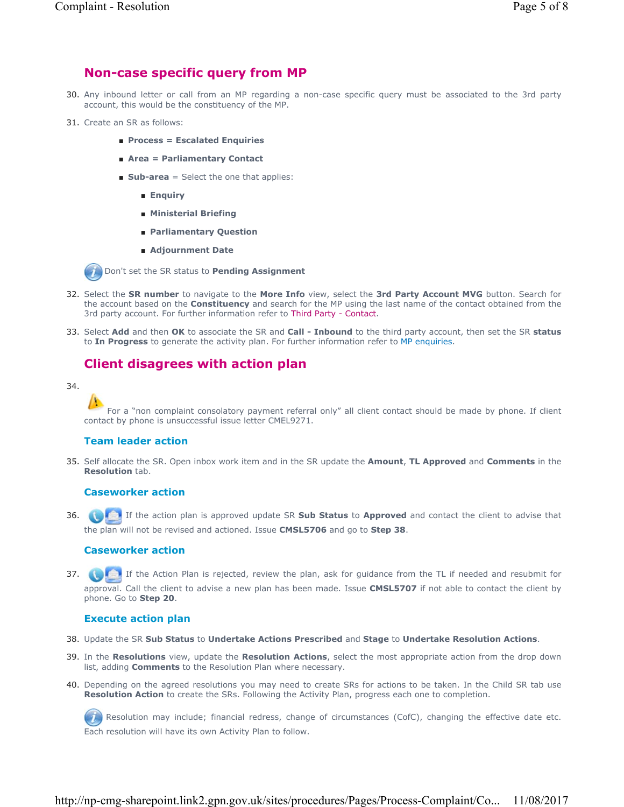## **Non-case specific query from MP**

- 30. Any inbound letter or call from an MP regarding a non-case specific query must be associated to the 3rd party account, this would be the constituency of the MP.
- 31. Create an SR as follows:
	- **Process = Escalated Enquiries**
	- **Area = Parliamentary Contact**
	- **Sub-area** = Select the one that applies:
		- **Enquiry**
		- **Ministerial Briefing**
		- **Parliamentary Question**
		- **Adjournment Date**

Don't set the SR status to **Pending Assignment**

- Select the **SR number** to navigate to the **More Info** view, select the **3rd Party Account MVG** button. Search for 32. the account based on the **Constituency** and search for the MP using the last name of the contact obtained from the 3rd party account. For further information refer to Third Party - Contact.
- Select **Add** and then **OK** to associate the SR and **Call Inbound** to the third party account, then set the SR **status** 33. to **In Progress** to generate the activity plan. For further information refer to MP enquiries.

# **Client disagrees with action plan**

#### 34.

For a "non complaint consolatory payment referral only" all client contact should be made by phone. If client contact by phone is unsuccessful issue letter CMEL9271.

#### **Team leader action**

Self allocate the SR. Open inbox work item and in the SR update the **Amount**, **TL Approved** and **Comments** in the 35. **Resolution** tab.

#### **Caseworker action**

If the action plan is approved update SR **Sub Status** to **Approved** and contact the client to advise that 36. the plan will not be revised and actioned. Issue **CMSL5706** and go to **Step 38**.

#### **Caseworker action**

**37.** If the Action Plan is rejected, review the plan, ask for guidance from the TL if needed and resubmit for approval. Call the client to advise a new plan has been made. Issue **CMSL5707** if not able to contact the client by phone. Go to **Step 20**.

#### **Execute action plan**

- 38. Update the SR **Sub Status** to **Undertake Actions Prescribed** and **Stage** to **Undertake Resolution Actions**.
- In the **Resolutions** view, update the **Resolution Actions**, select the most appropriate action from the drop down 39. list, adding **Comments** to the Resolution Plan where necessary.
- 40. Depending on the agreed resolutions you may need to create SRs for actions to be taken. In the Child SR tab use **Resolution Action** to create the SRs. Following the Activity Plan, progress each one to completion.

Resolution may include; financial redress, change of circumstances (CofC), changing the effective date etc. Each resolution will have its own Activity Plan to follow.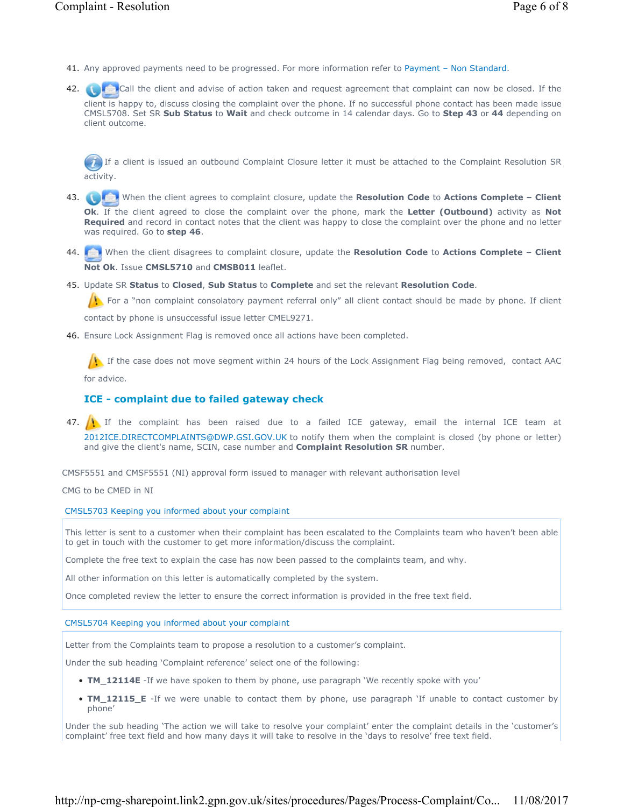- 41. Any approved payments need to be progressed. For more information refer to Payment Non Standard.
- Call the client and advise of action taken and request agreement that complaint can now be closed. If the client is happy to, discuss closing the complaint over the phone. If no successful phone contact has been made issue CMSL5708. Set SR **Sub Status** to **Wait** and check outcome in 14 calendar days. Go to **Step 43** or **44** depending on client outcome. 42.

 If a client is issued an outbound Complaint Closure letter it must be attached to the Complaint Resolution SR activity.

- When the client agrees to complaint closure, update the **Resolution Code** to **Actions Complete Client Ok**. If the client agreed to close the complaint over the phone, mark the **Letter (Outbound)** activity as **Not Required** and record in contact notes that the client was happy to close the complaint over the phone and no letter was required. Go to **step 46**. 43.  $\Box$
- When the client disagrees to complaint closure, update the **Resolution Code** to **Actions Complete Client**  44. **Not Ok**. Issue **CMSL5710** and **CMSB011** leaflet.
- Update SR **Status** to **Closed**, **Sub Status** to **Complete** and set the relevant **Resolution Code**. 45.

For a "non complaint consolatory payment referral only" all client contact should be made by phone. If client

contact by phone is unsuccessful issue letter CMEL9271.

46. Ensure Lock Assignment Flag is removed once all actions have been completed.

If the case does not move segment within 24 hours of the Lock Assignment Flag being removed, contact AAC for advice.

### **ICE - complaint due to failed gateway check**

47. If the complaint has been raised due to a failed ICE gateway, email the internal ICE team at 2012ICE.DIRECTCOMPLAINTS@DWP.GSI.GOV.UK to notify them when the complaint is closed (by phone or letter) and give the client's name, SCIN, case number and **Complaint Resolution SR** number.

CMSF5551 and CMSF5551 (NI) approval form issued to manager with relevant authorisation level

CMG to be CMED in NI

CMSL5703 Keeping you informed about your complaint

This letter is sent to a customer when their complaint has been escalated to the Complaints team who haven't been able to get in touch with the customer to get more information/discuss the complaint.

Complete the free text to explain the case has now been passed to the complaints team, and why.

All other information on this letter is automatically completed by the system.

Once completed review the letter to ensure the correct information is provided in the free text field.

#### CMSL5704 Keeping you informed about your complaint

Letter from the Complaints team to propose a resolution to a customer's complaint.

Under the sub heading 'Complaint reference' select one of the following:

- **TM\_12114E** -If we have spoken to them by phone, use paragraph 'We recently spoke with you'
- **TM\_12115\_E** -If we were unable to contact them by phone, use paragraph 'If unable to contact customer by phone'

Under the sub heading 'The action we will take to resolve your complaint' enter the complaint details in the 'customer's complaint' free text field and how many days it will take to resolve in the 'days to resolve' free text field.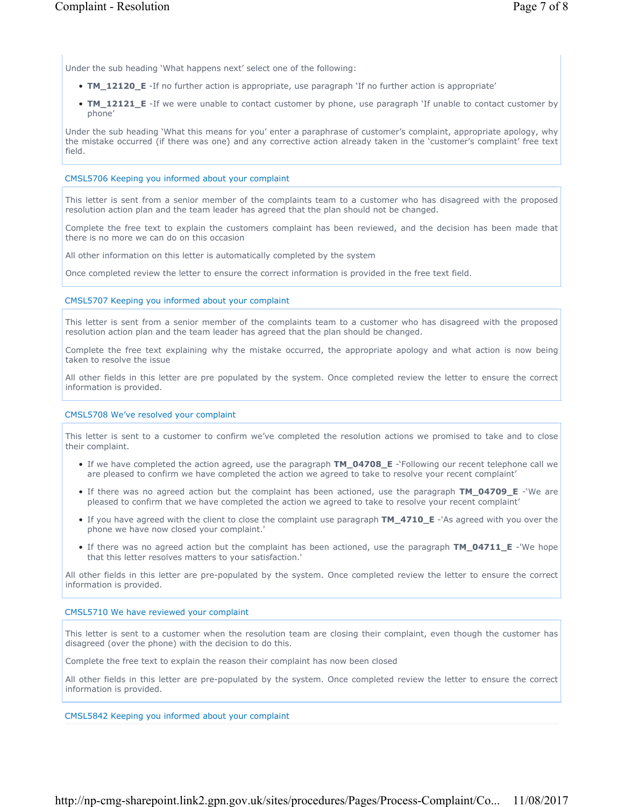Under the sub heading 'What happens next' select one of the following:

- **TM\_12120\_E** -If no further action is appropriate, use paragraph 'If no further action is appropriate'
- **TM\_12121\_E** -If we were unable to contact customer by phone, use paragraph 'If unable to contact customer by phone'

Under the sub heading 'What this means for you' enter a paraphrase of customer's complaint, appropriate apology, why the mistake occurred (if there was one) and any corrective action already taken in the 'customer's complaint' free text field.

#### CMSL5706 Keeping you informed about your complaint

This letter is sent from a senior member of the complaints team to a customer who has disagreed with the proposed resolution action plan and the team leader has agreed that the plan should not be changed.

Complete the free text to explain the customers complaint has been reviewed, and the decision has been made that there is no more we can do on this occasion

All other information on this letter is automatically completed by the system

Once completed review the letter to ensure the correct information is provided in the free text field.

#### CMSL5707 Keeping you informed about your complaint

This letter is sent from a senior member of the complaints team to a customer who has disagreed with the proposed resolution action plan and the team leader has agreed that the plan should be changed.

Complete the free text explaining why the mistake occurred, the appropriate apology and what action is now being taken to resolve the issue

All other fields in this letter are pre populated by the system. Once completed review the letter to ensure the correct information is provided.

#### CMSL5708 We've resolved your complaint

This letter is sent to a customer to confirm we've completed the resolution actions we promised to take and to close their complaint.

- If we have completed the action agreed, use the paragraph **TM\_04708\_E** -'Following our recent telephone call we are pleased to confirm we have completed the action we agreed to take to resolve your recent complaint'
- If there was no agreed action but the complaint has been actioned, use the paragraph **TM\_04709\_E** -'We are pleased to confirm that we have completed the action we agreed to take to resolve your recent complaint'
- If you have agreed with the client to close the complaint use paragraph **TM\_4710\_E** -'As agreed with you over the phone we have now closed your complaint.'
- If there was no agreed action but the complaint has been actioned, use the paragraph **TM\_04711\_E** -'We hope that this letter resolves matters to your satisfaction.'

All other fields in this letter are pre-populated by the system. Once completed review the letter to ensure the correct information is provided.

#### CMSL5710 We have reviewed your complaint

This letter is sent to a customer when the resolution team are closing their complaint, even though the customer has disagreed (over the phone) with the decision to do this.

Complete the free text to explain the reason their complaint has now been closed

All other fields in this letter are pre-populated by the system. Once completed review the letter to ensure the correct information is provided.

#### CMSL5842 Keeping you informed about your complaint